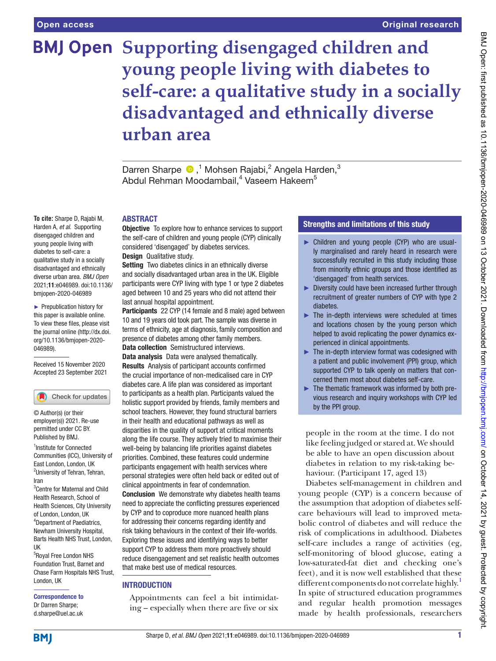**To cite:** Sharpe D, Rajabi M, Harden A, *et al*. Supporting disengaged children and young people living with diabetes to self-care: a qualitative study in a socially disadvantaged and ethnically diverse urban area. *BMJ Open* 2021;11:e046989. doi:10.1136/ bmjopen-2020-046989 ► Prepublication history for this paper is available online. To view these files, please visit the journal online [\(http://dx.doi.](http://dx.doi.org/10.1136/bmjopen-2020-046989) [org/10.1136/bmjopen-2020-](http://dx.doi.org/10.1136/bmjopen-2020-046989)

[046989\)](http://dx.doi.org/10.1136/bmjopen-2020-046989).

Received 15 November 2020 Accepted 23 September 2021

Check for updates

<sup>1</sup> Institute for Connected Communities (ICC), University of East London, London, UK <sup>2</sup>University of Tehran, Tehran,

© Author(s) (or their employer(s)) 2021. Re-use permitted under CC BY. Published by BMJ.

3 Centre for Maternal and Child Health Research, School of Health Sciences, City University of London, London, UK 4 Department of Paediatrics, Newham University Hospital, Barts Health NHS Trust, London,

Iran

UK

# **BMJ Open Supporting disengaged children and young people living with diabetes to self-care: a qualitative study in a socially disadvantaged and ethnically diverse urban area**

DarrenSharpe  $\bigcirc$ ,<sup>1</sup> Mohsen Rajabi,<sup>2</sup> Angela Harden,<sup>3</sup> Abdul Rehman Moodambail,<sup>4</sup> Vaseem Hakeem<sup>5</sup>

#### ABSTRACT

**Objective** To explore how to enhance services to support the self-care of children and young people (CYP) clinically considered 'disengaged' by diabetes services. Design Qualitative study.

Setting Two diabetes clinics in an ethnically diverse and socially disadvantaged urban area in the UK. Eligible participants were CYP living with type 1 or type 2 diabetes aged between 10 and 25 years who did not attend their last annual hospital appointment.

Participants 22 CYP (14 female and 8 male) aged between 10 and 19 years old took part. The sample was diverse in terms of ethnicity, age at diagnosis, family composition and presence of diabetes among other family members. Data collection Semistructured interviews. Data analysis Data were analysed thematically. Results Analysis of participant accounts confrmed the crucial importance of non-medicalised care in CYP diabetes care. A life plan was considered as important to participants as a health plan. Participants valued the holistic support provided by friends, family members and school teachers. However, they found structural barriers in their health and educational pathways as well as disparities in the quality of support at critical moments along the life course. They actively tried to maximise their well-being by balancing life priorities against diabetes priorities. Combined, these features could undermine participants engagement with health services where personal strategies were often held back or edited out of clinical appointments in fear of condemnation. Conclusion We demonstrate why diabetes health teams need to appreciate the conficting pressures experienced by CYP and to coproduce more nuanced health plans for addressing their concerns regarding identity and risk taking behaviours in the context of their life-worlds. Exploring these issues and identifying ways to better support CYP to address them more proactively should reduce disengagement and set realistic health outcomes

#### **INTRODUCTION**

Appointments can feel a bit intimidating – especially when there are five or six

that make best use of medical resources.

#### Strengths and limitations of this study

- ► Children and young people (CYP) who are usually marginalised and rarely heard in research were successfully recruited in this study including those from minority ethnic groups and those identifed as 'disengaged' from health services.
- ► Diversity could have been increased further through recruitment of greater numbers of CYP with type 2 diabetes.
- $\blacktriangleright$  The in-depth interviews were scheduled at times and locations chosen by the young person which helped to avoid replicating the power dynamics experienced in clinical appointments.
- ► The in-depth interview format was codesigned with a patient and public involvement (PPI) group, which supported CYP to talk openly on matters that concerned them most about diabetes self-care.
- ► The thematic framework was informed by both previous research and inquiry workshops with CYP led by the PPI group.

people in the room at the time. I do not like feeling judged or stared at. We should be able to have an open discussion about diabetes in relation to my risk-taking behaviour. (Participant 17, aged 13)

Diabetes self-management in children and young people (CYP) is a concern because of the assumption that adoption of diabetes selfcare behaviours will lead to improved metabolic control of diabetes and will reduce the risk of complications in adulthood. Diabetes self-care includes a range of activities (eg, self-monitoring of blood glucose, eating a low-saturated-fat diet and checking one's feet), and it is now well established that these different components do not correlate highly.<sup>[1](#page-7-0)</sup> In spite of structured education programmes and regular health promotion messages made by health professionals, researchers

#### 5 Royal Free London NHS Foundation Trust, Barnet and Chase Farm Hospitals NHS Trust,

London, UK

Correspondence to Dr Darren Sharpe; d.sharpe@uel.ac.uk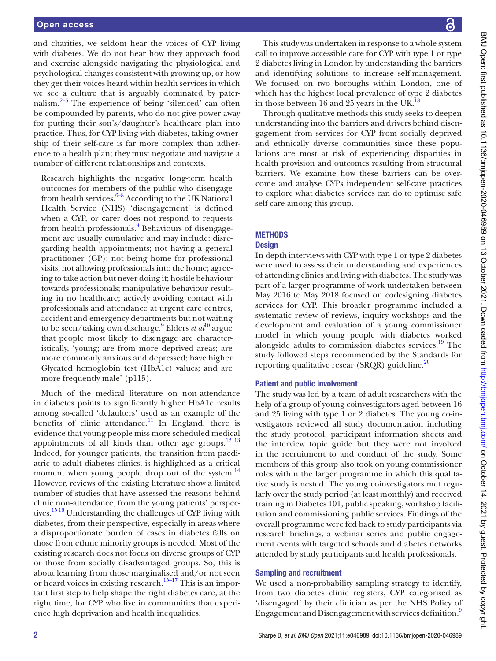and charities, we seldom hear the voices of CYP living with diabetes. We do not hear how they approach food and exercise alongside navigating the physiological and psychological changes consistent with growing up, or how they get their voices heard within health services in which we see a culture that is arguably dominated by paternalism. $2-5$  The experience of being 'silenced' can often be compounded by parents, who do not give power away for putting their son's/daughter's healthcare plan into practice. Thus, for CYP living with diabetes, taking ownership of their self-care is far more complex than adherence to a health plan; they must negotiate and navigate a number of different relationships and contexts.

Research highlights the negative long-term health outcomes for members of the public who disengage from health services. $6-8$  According to the UK National Health Service (NHS) 'disengagement' is defined when a CYP, or carer does not respond to requests from health professionals.<sup>[9](#page-7-3)</sup> Behaviours of disengagement are usually cumulative and may include: disregarding health appointments; not having a general practitioner (GP); not being home for professional visits; not allowing professionals into the home; agreeing to take action but never doing it; hostile behaviour towards professionals; manipulative behaviour resulting in no healthcare; actively avoiding contact with professionals and attendance at urgent care centres, accident and emergency departments but not waiting to be seen/taking own discharge.<sup>[9](#page-7-3)</sup> Elders *et al*<sup>[10](#page-7-4)</sup> argue that people most likely to disengage are characteristically, 'young; are from more deprived areas; are more commonly anxious and depressed; have higher Glycated hemoglobin test (HbA1c) values; and are more frequently male' (p115).

Much of the medical literature on non‐attendance in diabetes points to significantly higher HbA1c results among so-called 'defaulters' used as an example of the benefits of clinic attendance.<sup>11</sup> In England, there is evidence that young people miss more scheduled medical appointments of all kinds than other age groups. $12 \frac{13}{13}$ Indeed, for younger patients, the transition from paediatric to adult diabetes clinics, is highlighted as a critical moment when young people drop out of the system.<sup>[14](#page-7-7)</sup> However, reviews of the existing literature show a limited number of studies that have assessed the reasons behind clinic non‐attendance, from the young patients' perspectives.[15 16](#page-7-8) Understanding the challenges of CYP living with diabetes, from their perspective, especially in areas where a disproportionate burden of cases in diabetes falls on those from ethnic minority groups is needed. Most of the existing research does not focus on diverse groups of CYP or those from socially disadvantaged groups. So, this is about learning from those marginalised and/or not seen or heard voices in existing research.<sup>15–17</sup> This is an important first step to help shape the right diabetes care, at the right time, for CYP who live in communities that experience high deprivation and health inequalities.

BMJ Open: first published as 10.1136/bmijopen-2020-046989 on 13 October 2021. Downloaded from http://bmjopen.bmj.com/ on October 14, 2021 by guest. Protected by copyright BMJ Open: first published as 10.1136/bmjopen-2020-046989 on 13 October 2021. Downloaded from <http://bmjopen.bmj.com/> on October 14, 2021 by guest. Protected by copyright.

This study was undertaken in response to a whole system call to improve accessible care for CYP with type 1 or type 2 diabetes living in London by understanding the barriers and identifying solutions to increase self-management. We focused on two boroughs within London, one of which has the highest local prevalence of type 2 diabetes in those between 16 and 25 years in the UK.<sup>1</sup>

Through qualitative methods this study seeks to deepen understanding into the barriers and drivers behind disengagement from services for CYP from socially deprived and ethnically diverse communities since these populations are most at risk of experiencing disparities in health provision and outcomes resulting from structural barriers. We examine how these barriers can be overcome and analyse CYPs independent self-care practices to explore what diabetes services can do to optimise safe self-care among this group.

# **METHODS**

# **Design**

In-depth interviews with CYP with type 1 or type 2 diabetes were used to assess their understanding and experiences of attending clinics and living with diabetes. The study was part of a larger programme of work undertaken between May 2016 to May 2018 focused on codesigning diabetes services for CYP. This broader programme included a systematic review of reviews, inquiry workshops and the development and evaluation of a young commissioner model in which young people with diabetes worked alongside adults to commission diabetes services.<sup>19</sup> The study followed steps recommended by the Standards for reporting qualitative resear (SRQR) guideline. $^{20}$ 

# Patient and public involvement

The study was led by a team of adult researchers with the help of a group of young coinvestigators aged between 16 and 25 living with type 1 or 2 diabetes. The young co-investigators reviewed all study documentation including the study protocol, participant information sheets and the interview topic guide but they were not involved in the recruitment to and conduct of the study. Some members of this group also took on young commissioner roles within the larger programme in which this qualitative study is nested. The young coinvestigators met regularly over the study period (at least monthly) and received training in Diabetes 101, public speaking, workshop facilitation and commissioning public services. Findings of the overall programme were fed back to study participants via research briefings, a webinar series and public engagement events with targeted schools and diabetes networks attended by study participants and health professionals.

# Sampling and recruitment

We used a non-probability sampling strategy to identify, from two diabetes clinic registers, CYP categorised as 'disengaged' by their clinician as per the NHS Policy of Engagement and Disengagement with services definition.<sup>9</sup>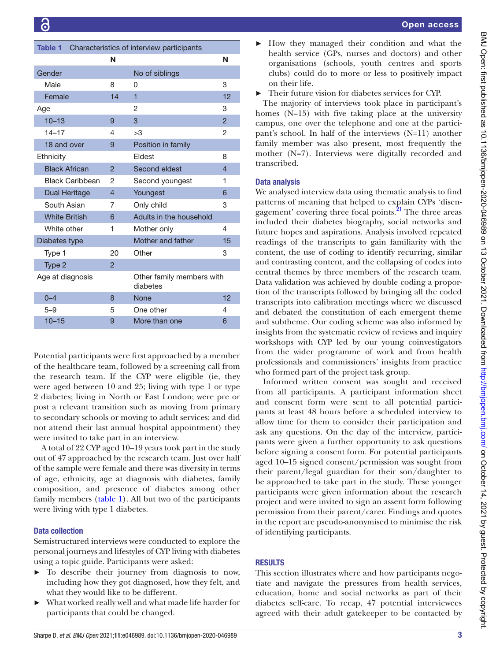<span id="page-2-0"></span>

| Table 1<br>Characteristics of interview participants |                |                                       |                |
|------------------------------------------------------|----------------|---------------------------------------|----------------|
|                                                      | N              |                                       | N              |
| Gender                                               |                | No of siblings                        |                |
| Male                                                 | 8              | Ω                                     | 3              |
| Female                                               | 14             | 1                                     | 12             |
| Age                                                  |                | 2                                     | 3              |
| $10 - 13$                                            | 9              | 3                                     | $\overline{2}$ |
| $14 - 17$                                            | 4              | >3                                    | 2              |
| 18 and over                                          | 9              | Position in family                    |                |
| Ethnicity                                            |                | Fldest                                | 8              |
| <b>Black African</b>                                 | $\overline{2}$ | Second eldest                         | 4              |
| <b>Black Caribbean</b>                               | 2              | Second youngest                       | 1              |
| Dual Heritage                                        | $\overline{4}$ | Youngest                              | 6              |
| South Asian                                          | 7              | Only child                            | 3              |
| <b>White British</b>                                 | 6              | Adults in the household               |                |
| White other                                          | 1              | Mother only                           | 4              |
| Diabetes type                                        |                | Mother and father                     | 15             |
| Type 1                                               | 20             | Other                                 | 3              |
| Type 2                                               | $\overline{2}$ |                                       |                |
| Age at diagnosis                                     |                | Other family members with<br>diabetes |                |
| $0 - 4$                                              | 8              | <b>None</b>                           | 12             |
| $5 - 9$                                              | 5              | One other                             | 4              |
| $10 - 15$                                            | 9              | More than one                         | 6              |

Potential participants were first approached by a member of the healthcare team, followed by a screening call from the research team. If the CYP were eligible (ie, they were aged between 10 and 25; living with type 1 or type 2 diabetes; living in North or East London; were pre or post a relevant transition such as moving from primary to secondary schools or moving to adult services; and did not attend their last annual hospital appointment) they were invited to take part in an interview.

A total of 22 CYP aged 10–19 years took part in the study out of 47 approached by the research team. Just over half of the sample were female and there was diversity in terms of age, ethnicity, age at diagnosis with diabetes, family composition, and presence of diabetes among other family members ([table](#page-2-0) 1). All but two of the participants were living with type 1 diabetes.

#### Data collection

Semistructured interviews were conducted to explore the personal journeys and lifestyles of CYP living with diabetes using a topic guide. Participants were asked:

- ► To describe their journey from diagnosis to now, including how they got diagnosed, how they felt, and what they would like to be different.
- ► What worked really well and what made life harder for participants that could be changed.

► How they managed their condition and what the health service (GPs, nurses and doctors) and other organisations (schools, youth centres and sports clubs) could do to more or less to positively impact on their life.

Their future vision for diabetes services for CYP.

The majority of interviews took place in participant's homes (N=15) with five taking place at the university campus, one over the telephone and one at the participant's school. In half of the interviews (N=11) another family member was also present, most frequently the mother (N=7). Interviews were digitally recorded and transcribed.

#### Data analysis

We analysed interview data using thematic analysis to find patterns of meaning that helped to explain CYPs 'disengagement' covering three focal points. $^{21}$  The three areas included their diabetes biography, social networks and future hopes and aspirations. Analysis involved repeated readings of the transcripts to gain familiarity with the content, the use of coding to identify recurring, similar and contrasting content, and the collapsing of codes into central themes by three members of the research team. Data validation was achieved by double coding a proportion of the transcripts followed by bringing all the coded transcripts into calibration meetings where we discussed and debated the constitution of each emergent theme and subtheme. Our coding scheme was also informed by insights from the systematic review of reviews and inquiry workshops with CYP led by our young coinvestigators from the wider programme of work and from health professionals and commissioners' insights from practice who formed part of the project task group.

Informed written consent was sought and received from all participants. A participant information sheet and consent form were sent to all potential participants at least 48 hours before a scheduled interview to allow time for them to consider their participation and ask any questions. On the day of the interview, participants were given a further opportunity to ask questions before signing a consent form. For potential participants aged 10–15 signed consent/permission was sought from their parent/legal guardian for their son/daughter to be approached to take part in the study. These younger participants were given information about the research project and were invited to sign an assent form following permission from their parent/carer. Findings and quotes in the report are pseudo-anonymised to minimise the risk of identifying participants.

#### RESULTS

This section illustrates where and how participants negotiate and navigate the pressures from health services, education, home and social networks as part of their diabetes self-care. To recap, 47 potential interviewees agreed with their adult gatekeeper to be contacted by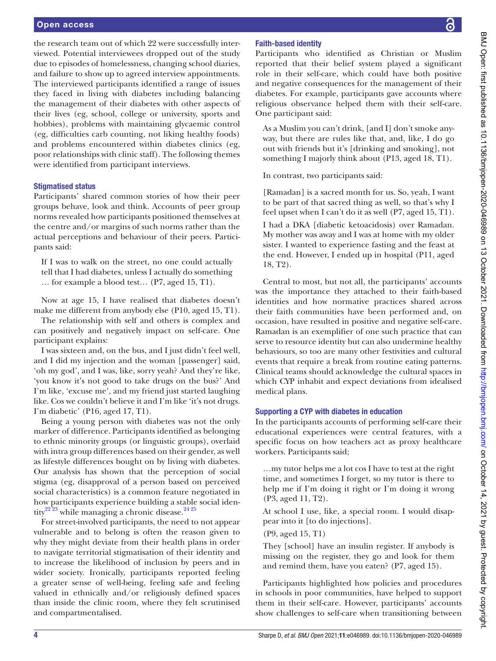#### Open access

the research team out of which 22 were successfully interviewed. Potential interviewees dropped out of the study due to episodes of homelessness, changing school diaries, and failure to show up to agreed interview appointments. The interviewed participants identified a range of issues they faced in living with diabetes including balancing the management of their diabetes with other aspects of their lives (eg, school, college or university, sports and hobbies), problems with maintaining glycaemic control (eg, difficulties carb counting, not liking healthy foods) and problems encountered within diabetes clinics (eg, poor relationships with clinic staff). The following themes were identified from participant interviews.

#### Stigmatised status

Participants' shared common stories of how their peer groups behave, look and think. Accounts of peer group norms revealed how participants positioned themselves at the centre and/or margins of such norms rather than the actual perceptions and behaviour of their peers. Participants said:

If I was to walk on the street, no one could actually tell that I had diabetes, unless I actually do something … for example a blood test… (P7, aged 15, T1).

Now at age 15, I have realised that diabetes doesn't make me different from anybody else (P10, aged 15, T1).

The relationship with self and others is complex and can positively and negatively impact on self-care. One participant explains:

I was sixteen and, on the bus, and I just didn't feel well, and I did my injection and the woman [passenger] said, 'oh my god', and I was, like, sorry yeah? And they're like, 'you know it's not good to take drugs on the bus?' And I'm like, 'excuse me', and my friend just started laughing like. Cos we couldn't believe it and I'm like 'it's not drugs. I'm diabetic' (P16, aged 17, T1).

Being a young person with diabetes was not the only marker of difference. Participants identified as belonging to ethnic minority groups (or linguistic groups), overlaid with intra group differences based on their gender, as well as lifestyle differences bought on by living with diabetes. Our analysis has shown that the perception of social stigma (eg, disapproval of a person based on perceived social characteristics) is a common feature negotiated in how participants experience building a stable social iden-tity<sup>[22 23](#page-7-13)</sup> while managing a chronic disease.<sup>24 25</sup>

For street-involved participants, the need to not appear vulnerable and to belong is often the reason given to why they might deviate from their health plans in order to navigate territorial stigmatisation of their identity and to increase the likelihood of inclusion by peers and in wider society. Ironically, participants reported feeling a greater sense of well-being, feeling safe and feeling valued in ethnically and/or religiously defined spaces than inside the clinic room, where they felt scrutinised and compartmentalised.

### Faith-based identity

Participants who identified as Christian or Muslim reported that their belief system played a significant role in their self-care, which could have both positive and negative consequences for the management of their diabetes. For example, participants gave accounts where religious observance helped them with their self-care. One participant said:

As a Muslim you can't drink, [and I] don't smoke anyway, but there are rules like that, and, like, I do go out with friends but it's [drinking and smoking], not something I majorly think about (P13, aged 18, T1).

In contrast, two participants said:

[Ramadan] is a sacred month for us. So, yeah, I want to be part of that sacred thing as well, so that's why I feel upset when I can't do it as well (P7, aged 15, T1). I had a DKA [diabetic ketoacidosis) over Ramadan. My mother was away and I was at home with my older sister. I wanted to experience fasting and the feast at the end. However, I ended up in hospital (P11, aged 18, T2).

Central to most, but not all, the participants' accounts was the importance they attached to their faith-based identities and how normative practices shared across their faith communities have been performed and, on occasion, have resulted in positive and negative self-care. Ramadan is an exemplifier of one such practice that can serve to resource identity but can also undermine healthy behaviours, so too are many other festivities and cultural events that require a break from routine eating patterns. Clinical teams should acknowledge the cultural spaces in which CYP inhabit and expect deviations from idealised medical plans.

#### Supporting a CYP with diabetes in education

In the participants accounts of performing self-care their educational experiences were central features, with a specific focus on how teachers act as proxy healthcare workers. Participants said;

…my tutor helps me a lot cos I have to test at the right time, and sometimes I forget, so my tutor is there to help me if I'm doing it right or I'm doing it wrong (P3, aged 11, T2).

At school I use, like, a special room. I would disappear into it [to do injections].

(P9, aged 15, T1)

They [school] have an insulin register. If anybody is missing on the register, they go and look for them and remind them, have you eaten? (P7, aged 15).

Participants highlighted how policies and procedures in schools in poor communities, have helped to support them in their self-care. However, participants' accounts show challenges to self-care when transitioning between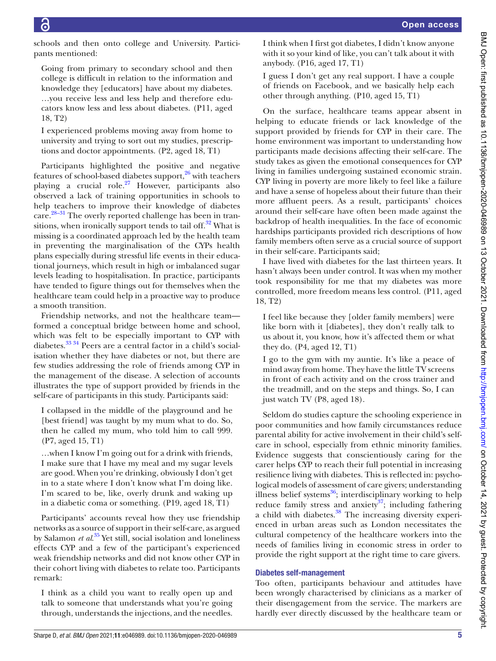schools and then onto college and University. Participants mentioned:

Going from primary to secondary school and then college is difficult in relation to the information and knowledge they [educators] have about my diabetes. …you receive less and less help and therefore educators know less and less about diabetes. (P11, aged 18, T2)

I experienced problems moving away from home to university and trying to sort out my studies, prescriptions and doctor appointments. (P2, aged 18, T1)

Participants highlighted the positive and negative features of school-based diabetes support,<sup>26</sup> with teachers playing a crucial role.<sup>27</sup> However, participants also observed a lack of training opportunities in schools to help teachers to improve their knowledge of diabetes care[.28–31](#page-7-17) The overly reported challenge has been in transitions, when ironically support tends to tail off. $32$  What is missing is a coordinated approach led by the health team in preventing the marginalisation of the CYPs health plans especially during stressful life events in their educational journeys, which result in high or imbalanced sugar levels leading to hospitalisation. In practice, participants have tended to figure things out for themselves when the healthcare team could help in a proactive way to produce a smooth transition.

Friendship networks, and not the healthcare team formed a conceptual bridge between home and school, which was felt to be especially important to CYP with diabetes.[33 34](#page-7-19) Peers are a central factor in a child's socialisation whether they have diabetes or not, but there are few studies addressing the role of friends among CYP in the management of the disease. A selection of accounts illustrates the type of support provided by friends in the self-care of participants in this study. Participants said:

I collapsed in the middle of the playground and he [best friend] was taught by my mum what to do. So, then he called my mum, who told him to call 999. (P7, aged 15, T1)

…when I know I'm going out for a drink with friends, I make sure that I have my meal and my sugar levels are good. When you're drinking, obviously I don't get in to a state where I don't know what I'm doing like. I'm scared to be, like, overly drunk and waking up in a diabetic coma or something. (P19, aged 18, T1)

Participants' accounts reveal how they use friendship networks as a source of support in their self-care, as argued by Salamon *et al*. [35](#page-7-20) Yet still, social isolation and loneliness effects CYP and a few of the participant's experienced weak friendship networks and did not know other CYP in their cohort living with diabetes to relate too. Participants remark:

I think as a child you want to really open up and talk to someone that understands what you're going through, understands the injections, and the needles. I think when I first got diabetes, I didn't know anyone with it so your kind of like, you can't talk about it with anybody. (P16, aged 17, T1)

I guess I don't get any real support. I have a couple of friends on Facebook, and we basically help each other through anything. (P10, aged 15, T1)

On the surface, healthcare teams appear absent in helping to educate friends or lack knowledge of the support provided by friends for CYP in their care. The home environment was important to understanding how participants made decisions affecting their self-care. The study takes as given the emotional consequences for CYP living in families undergoing sustained economic strain. CYP living in poverty are more likely to feel like a failure and have a sense of hopeless about their future than their more affluent peers. As a result, participants' choices around their self-care have often been made against the backdrop of health inequalities. In the face of economic hardships participants provided rich descriptions of how family members often serve as a crucial source of support in their self-care. Participants said;

I have lived with diabetes for the last thirteen years. It hasn't always been under control. It was when my mother took responsibility for me that my diabetes was more controlled, more freedom means less control. (P11, aged 18, T2)

I feel like because they [older family members] were like born with it [diabetes], they don't really talk to us about it, you know, how it's affected them or what they do. (P4, aged 12, T1)

I go to the gym with my auntie. It's like a peace of mind away from home. They have the little TV screens in front of each activity and on the cross trainer and the treadmill, and on the steps and things. So, I can just watch TV (P8, aged 18).

Seldom do studies capture the schooling experience in poor communities and how family circumstances reduce parental ability for active involvement in their child's selfcare in school, especially from ethnic minority families. Evidence suggests that conscientiously caring for the carer helps CYP to reach their full potential in increasing resilience living with diabetes. This is reflected in: psychological models of assessment of care givers; understanding illness belief systems $^{36}$ ; interdisciplinary working to help reduce family stress and anxiety<sup>37</sup>; including fathering a child with diabetes.<sup>38</sup> The increasing diversity experienced in urban areas such as London necessitates the cultural competency of the healthcare workers into the needs of families living in economic stress in order to provide the right support at the right time to care givers.

# Diabetes self-management

Too often, participants behaviour and attitudes have been wrongly characterised by clinicians as a marker of their disengagement from the service. The markers are hardly ever directly discussed by the healthcare team or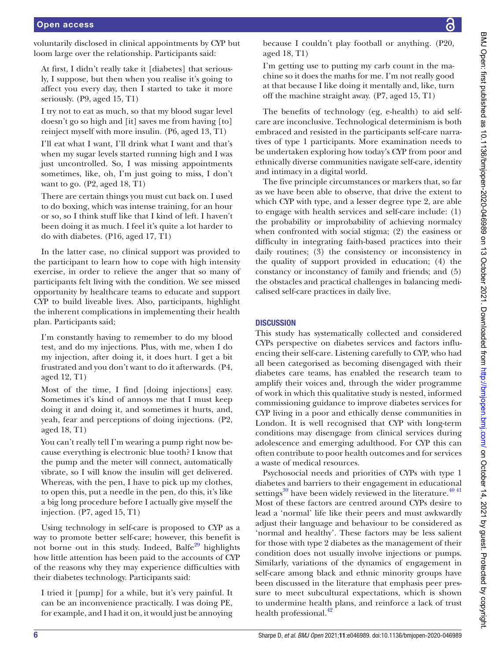voluntarily disclosed in clinical appointments by CYP but loom large over the relationship. Participants said:

At first, I didn't really take it [diabetes] that seriously, I suppose, but then when you realise it's going to affect you every day, then I started to take it more seriously. (P9, aged 15, T1)

I try not to eat as much, so that my blood sugar level doesn't go so high and [it] saves me from having [to] reinject myself with more insulin. (P6, aged 13, T1)

I'll eat what I want, I'll drink what I want and that's when my sugar levels started running high and I was just uncontrolled. So, I was missing appointments sometimes, like, oh, I'm just going to miss, I don't want to go. (P2, aged 18, T1)

There are certain things you must cut back on. I used to do boxing, which was intense training, for an hour or so, so I think stuff like that I kind of left. I haven't been doing it as much. I feel it's quite a lot harder to do with diabetes. (P16, aged 17, T1)

In the latter case, no clinical support was provided to the participant to learn how to cope with high intensity exercise, in order to relieve the anger that so many of participants felt living with the condition. We see missed opportunity by healthcare teams to educate and support CYP to build liveable lives. Also, participants, highlight the inherent complications in implementing their health plan. Participants said;

I'm constantly having to remember to do my blood test, and do my injections. Plus, with me, when I do my injection, after doing it, it does hurt. I get a bit frustrated and you don't want to do it afterwards. (P4, aged 12, T1)

Most of the time, I find [doing injections] easy. Sometimes it's kind of annoys me that I must keep doing it and doing it, and sometimes it hurts, and, yeah, fear and perceptions of doing injections. (P2, aged 18, T1)

You can't really tell I'm wearing a pump right now because everything is electronic blue tooth? I know that the pump and the meter will connect, automatically vibrate, so I will know the insulin will get delivered. Whereas, with the pen, I have to pick up my clothes, to open this, put a needle in the pen, do this, it's like a big long procedure before I actually give myself the injection. (P7, aged 15, T1)

Using technology in self-care is proposed to CYP as a way to promote better self-care; however, this benefit is not borne out in this study. Indeed, Balfe<sup>[29](#page-7-24)</sup> highlights how little attention has been paid to the accounts of CYP of the reasons why they may experience difficulties with their diabetes technology. Participants said:

I tried it [pump] for a while, but it's very painful. It can be an inconvenience practically. I was doing PE, for example, and I had it on, it would just be annoying

because I couldn't play football or anything. (P20, aged 18, T1)

I'm getting use to putting my carb count in the machine so it does the maths for me. I'm not really good at that because I like doing it mentally and, like, turn off the machine straight away. (P7, aged 15, T1)

The benefits of technology (eg, e-health) to aid selfcare are inconclusive. Technological determinism is both embraced and resisted in the participants self-care narratives of type 1 participants. More examination needs to be undertaken exploring how today's CYP from poor and ethnically diverse communities navigate self-care, identity and intimacy in a digital world.

The five principle circumstances or markers that, so far as we have been able to observe, that drive the extent to which CYP with type, and a lesser degree type 2, are able to engage with health services and self-care include: (1) the probability or improbability of achieving normalcy when confronted with social stigma; (2) the easiness or difficulty in integrating faith-based practices into their daily routines; (3) the consistency or inconsistency in the quality of support provided in education; (4) the constancy or inconstancy of family and friends; and (5) the obstacles and practical challenges in balancing medicalised self-care practices in daily live.

#### **DISCUSSION**

This study has systematically collected and considered CYPs perspective on diabetes services and factors influencing their self-care. Listening carefully to CYP, who had all been categorised as becoming disengaged with their diabetes care teams, has enabled the research team to amplify their voices and, through the wider programme of work in which this qualitative study is nested, informed commissioning guidance to improve diabetes services for CYP living in a poor and ethically dense communities in London. It is well recognised that CYP with long-term conditions may disengage from clinical services during adolescence and emerging adulthood. For CYP this can often contribute to poor health outcomes and for services a waste of medical resources.

Psychosocial needs and priorities of CYPs with type 1 diabetes and barriers to their engagement in educational settings $39$  have been widely reviewed in the literature.<sup>4041</sup> Most of these factors are centred around CYPs desire to lead a 'normal' life like their peers and must awkwardly adjust their language and behaviour to be considered as 'normal and healthy'. These factors may be less salient for those with type 2 diabetes as the management of their condition does not usually involve injections or pumps. Similarly, variations of the dynamics of engagement in self-care among black and ethnic minority groups have been discussed in the literature that emphasis peer pressure to meet subcultural expectations, which is shown to undermine health plans, and reinforce a lack of trust health professional.<sup>[42](#page-7-27)</sup>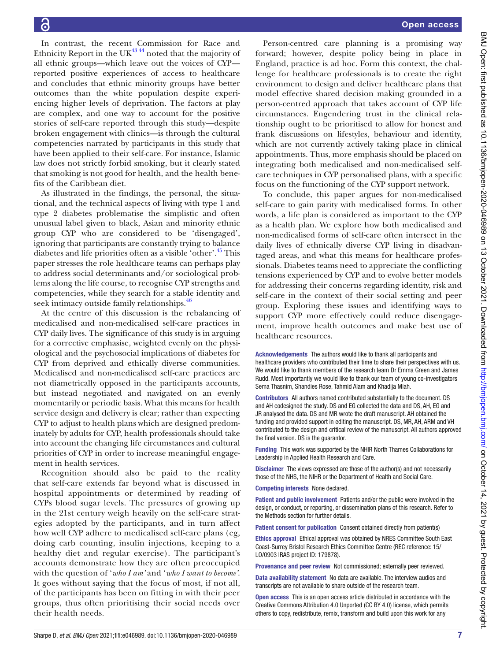In contrast, the recent Commission for Race and Ethnicity Report in the UK $^{43\,44}$  noted that the majority of all ethnic groups—which leave out the voices of CYP reported positive experiences of access to healthcare and concludes that ethnic minority groups have better outcomes than the white population despite experiencing higher levels of deprivation. The factors at play are complex, and one way to account for the positive stories of self-care reported through this study—despite broken engagement with clinics—is through the cultural competencies narrated by participants in this study that have been applied to their self-care. For instance, Islamic law does not strictly forbid smoking, but it clearly stated that smoking is not good for health, and the health benefits of the Caribbean diet.

As illustrated in the findings, the personal, the situational, and the technical aspects of living with type 1 and type 2 diabetes problematise the simplistic and often unusual label given to black, Asian and minority ethnic group CYP who are considered to be 'disengaged', ignoring that participants are constantly trying to balance diabetes and life priorities often as a visible 'other'[.45](#page-7-29) This paper stresses the role healthcare teams can perhaps play to address social determinants and/or sociological problems along the life course, to recognise CYP strengths and competencies, while they search for a stable identity and seek intimacy outside family relationships.<sup>46</sup>

At the centre of this discussion is the rebalancing of medicalised and non-medicalised self-care practices in CYP daily lives. The significance of this study is in arguing for a corrective emphasise, weighted evenly on the physiological and the psychosocial implications of diabetes for CYP from deprived and ethically diverse communities. Medicalised and non-medicalised self-care practices are not diametrically opposed in the participants accounts, but instead negotiated and navigated on an evenly momentarily or periodic basis. What this means for health service design and delivery is clear; rather than expecting CYP to adjust to health plans which are designed predominately by adults for CYP, health professionals should take into account the changing life circumstances and cultural priorities of CYP in order to increase meaningful engagement in health services.

Recognition should also be paid to the reality that self-care extends far beyond what is discussed in hospital appointments or determined by reading of CYPs blood sugar levels. The pressures of growing up in the 21st century weigh heavily on the self-care strategies adopted by the participants, and in turn affect how well CYP adhere to medicalised self-care plans (eg, doing carb counting, insulin injections, keeping to a healthy diet and regular exercise). The participant's accounts demonstrate how they are often preoccupied with the question of '*who I am'* and '*who I want to become'*. It goes without saying that the focus of most, if not all, of the participants has been on fitting in with their peer groups, thus often prioritising their social needs over their health needs.

Person-centred care planning is a promising way forward; however, despite policy being in place in England, practice is ad hoc. Form this context, the challenge for healthcare professionals is to create the right environment to design and deliver healthcare plans that model effective shared decision making grounded in a person-centred approach that takes account of CYP life circumstances. Engendering trust in the clinical relationship ought to be prioritised to allow for honest and frank discussions on lifestyles, behaviour and identity, which are not currently actively taking place in clinical appointments. Thus, more emphasis should be placed on integrating both medicalised and non-medicalised selfcare techniques in CYP personalised plans, with a specific focus on the functioning of the CYP support network.

To conclude, this paper argues for non-medicalised self-care to gain parity with medicalised forms. In other words, a life plan is considered as important to the CYP as a health plan. We explore how both medicalised and non-medicalised forms of self-care often intersect in the daily lives of ethnically diverse CYP living in disadvantaged areas, and what this means for healthcare professionals. Diabetes teams need to appreciate the conflicting tensions experienced by CYP and to evolve better models for addressing their concerns regarding identity, risk and self-care in the context of their social setting and peer group. Exploring these issues and identifying ways to support CYP more effectively could reduce disengagement, improve health outcomes and make best use of healthcare resources.

Acknowledgements The authors would like to thank all participants and healthcare providers who contributed their time to share their perspectives with us. We would like to thank members of the research team Dr Emma Green and James Rudd. Most importantly we would like to thank our team of young co-investigators Sema Thasnim, Shandies Rose, Tahmid Alam and Khadija Miah.

Contributors All authors named contributed substantially to the document. DS and AH codesigned the study. DS and EG collected the data and DS, AH, EG and JR analysed the data. DS and MR wrote the draft manuscript. AH obtained the funding and provided support in editing the manuscript. DS, MR, AH, ARM and VH contributed to the design and critical review of the manuscript. All authors approved the final version. DS is the quarantor.

Funding This work was supported by the NHIR North Thames Collaborations for Leadership in Applied Health Research and Care.

Disclaimer The views expressed are those of the author(s) and not necessarily those of the NHS, the NIHR or the Department of Health and Social Care.

Competing interests None declared.

Patient and public involvement Patients and/or the public were involved in the design, or conduct, or reporting, or dissemination plans of this research. Refer to the Methods section for further details.

Patient consent for publication Consent obtained directly from patient(s)

Ethics approval Ethical approval was obtained by NRES Committee South East Coast-Surrey Bristol Research Ethics Committee Centre (REC reference: 15/ LO/0903 IRAS project ID: 179878).

Provenance and peer review Not commissioned; externally peer reviewed.

Data availability statement No data are available. The interview audios and transcripts are not available to share outside of the research team.

Open access This is an open access article distributed in accordance with the Creative Commons Attribution 4.0 Unported (CC BY 4.0) license, which permits others to copy, redistribute, remix, transform and build upon this work for any